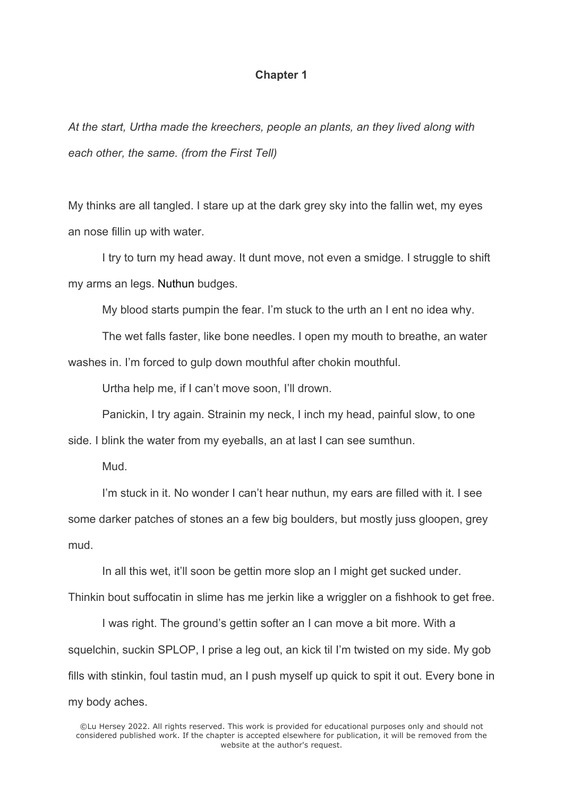## **Chapter 1**

*At the start, Urtha made the kreechers, people an plants, an they lived along with each other, the same. (from the First Tell)*

My thinks are all tangled. I stare up at the dark grey sky into the fallin wet, my eyes an nose fillin up with water.

I try to turn my head away. It dunt move, not even a smidge. I struggle to shift my arms an legs. Nuthun budges.

My blood starts pumpin the fear. I'm stuck to the urth an I ent no idea why.

The wet falls faster, like bone needles. I open my mouth to breathe, an water washes in. I'm forced to gulp down mouthful after chokin mouthful.

Urtha help me, if I can't move soon, I'll drown.

Panickin, I try again. Strainin my neck, I inch my head, painful slow, to one side. I blink the water from my eyeballs, an at last I can see sumthun.

Mud.

I'm stuck in it. No wonder I can't hear nuthun, my ears are filled with it. I see some darker patches of stones an a few big boulders, but mostly juss gloopen, grey mud.

In all this wet, it'll soon be gettin more slop an I might get sucked under.

Thinkin bout suffocatin in slime has me jerkin like a wriggler on a fishhook to get free.

I was right. The ground's gettin softer an I can move a bit more. With a squelchin, suckin SPLOP, I prise a leg out, an kick til I'm twisted on my side. My gob fills with stinkin, foul tastin mud, an I push myself up quick to spit it out. Every bone in my body aches.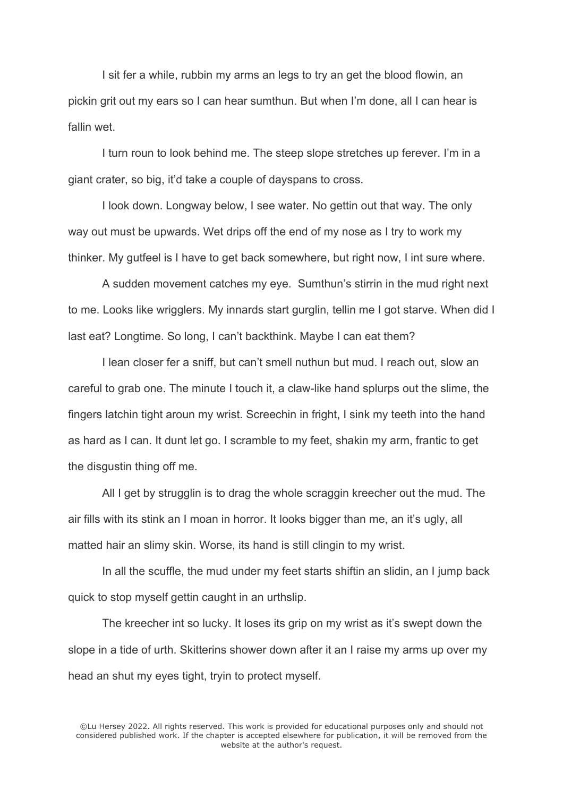I sit fer a while, rubbin my arms an legs to try an get the blood flowin, an pickin grit out my ears so I can hear sumthun. But when I'm done, all I can hear is fallin wet.

I turn roun to look behind me. The steep slope stretches up ferever. I'm in a giant crater, so big, it'd take a couple of dayspans to cross.

I look down. Longway below, I see water. No gettin out that way. The only way out must be upwards. Wet drips off the end of my nose as I try to work my thinker. My gutfeel is I have to get back somewhere, but right now, I int sure where.

A sudden movement catches my eye. Sumthun's stirrin in the mud right next to me. Looks like wrigglers. My innards start gurglin, tellin me I got starve. When did I last eat? Longtime. So long, I can't backthink. Maybe I can eat them?

I lean closer fer a sniff, but can't smell nuthun but mud. I reach out, slow an careful to grab one. The minute I touch it, a claw-like hand splurps out the slime, the fingers latchin tight aroun my wrist. Screechin in fright, I sink my teeth into the hand as hard as I can. It dunt let go. I scramble to my feet, shakin my arm, frantic to get the disgustin thing off me.

All I get by strugglin is to drag the whole scraggin kreecher out the mud. The air fills with its stink an I moan in horror. It looks bigger than me, an it's ugly, all matted hair an slimy skin. Worse, its hand is still clingin to my wrist.

In all the scuffle, the mud under my feet starts shiftin an slidin, an I jump back quick to stop myself gettin caught in an urthslip.

The kreecher int so lucky. It loses its grip on my wrist as it's swept down the slope in a tide of urth. Skitterins shower down after it an I raise my arms up over my head an shut my eyes tight, tryin to protect myself.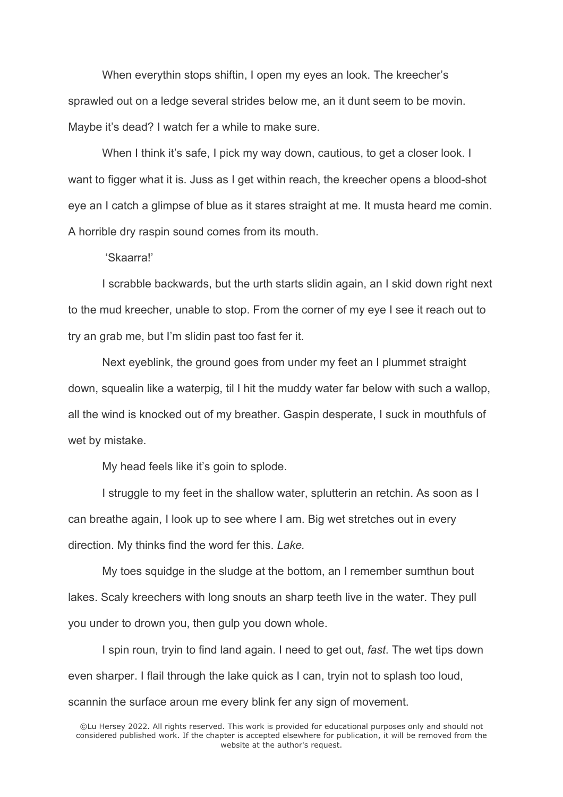When everythin stops shiftin, I open my eyes an look. The kreecher's sprawled out on a ledge several strides below me, an it dunt seem to be movin. Maybe it's dead? I watch fer a while to make sure.

When I think it's safe, I pick my way down, cautious, to get a closer look. I want to figger what it is. Juss as I get within reach, the kreecher opens a blood-shot eye an I catch a glimpse of blue as it stares straight at me. It musta heard me comin. A horrible dry raspin sound comes from its mouth.

'Skaarra!'

I scrabble backwards, but the urth starts slidin again, an I skid down right next to the mud kreecher, unable to stop. From the corner of my eye I see it reach out to try an grab me, but I'm slidin past too fast fer it.

Next eyeblink, the ground goes from under my feet an I plummet straight down, squealin like a waterpig, til I hit the muddy water far below with such a wallop, all the wind is knocked out of my breather. Gaspin desperate, I suck in mouthfuls of wet by mistake.

My head feels like it's goin to splode.

I struggle to my feet in the shallow water, splutterin an retchin. As soon as I can breathe again, I look up to see where I am. Big wet stretches out in every direction. My thinks find the word fer this. *Lake.* 

My toes squidge in the sludge at the bottom, an I remember sumthun bout lakes. Scaly kreechers with long snouts an sharp teeth live in the water. They pull you under to drown you, then gulp you down whole.

I spin roun, tryin to find land again. I need to get out, *fast*. The wet tips down even sharper. I flail through the lake quick as I can, tryin not to splash too loud, scannin the surface aroun me every blink fer any sign of movement.